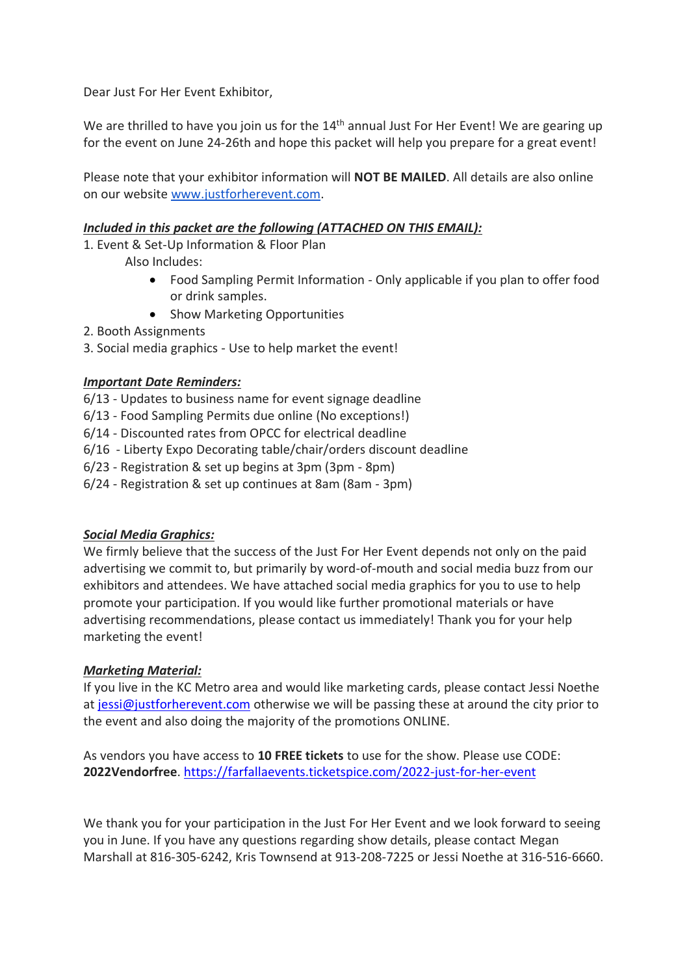Dear Just For Her Event Exhibitor,

We are thrilled to have you join us for the 14<sup>th</sup> annual Just For Her Event! We are gearing up for the event on June 24-26th and hope this packet will help you prepare for a great event!

Please note that your exhibitor information will **NOT BE MAILED**. All details are also online on our website [www.justforherevent.com.](http://www.justforherevent.com/)

#### *Included in this packet are the following (ATTACHED ON THIS EMAIL):*

1. Event & Set-Up Information & Floor Plan

Also Includes:

- Food Sampling Permit Information Only applicable if you plan to offer food or drink samples.
- Show Marketing Opportunities
- 2. Booth Assignments
- 3. Social media graphics Use to help market the event!

#### *Important Date Reminders:*

6/13 - Updates to business name for event signage deadline

- 6/13 Food Sampling Permits due online (No exceptions!)
- 6/14 Discounted rates from OPCC for electrical deadline
- 6/16 Liberty Expo Decorating table/chair/orders discount deadline
- 6/23 Registration & set up begins at 3pm (3pm 8pm)
- 6/24 Registration & set up continues at 8am (8am 3pm)

## *Social Media Graphics:*

We firmly believe that the success of the Just For Her Event depends not only on the paid advertising we commit to, but primarily by word-of-mouth and social media buzz from our exhibitors and attendees. We have attached social media graphics for you to use to help promote your participation. If you would like further promotional materials or have advertising recommendations, please contact us immediately! Thank you for your help marketing the event!

#### *Marketing Material:*

If you live in the KC Metro area and would like marketing cards, please contact Jessi Noethe at [jessi@justforherevent.com](mailto:jessi@justforherevent.com) otherwise we will be passing these at around the city prior to the event and also doing the majority of the promotions ONLINE.

As vendors you have access to **10 FREE tickets** to use for the show. Please use CODE: **2022Vendorfree**.<https://farfallaevents.ticketspice.com/2022-just-for-her-event>

We thank you for your participation in the Just For Her Event and we look forward to seeing you in June. If you have any questions regarding show details, please contact Megan Marshall at 816-305-6242, Kris Townsend at 913-208-7225 or Jessi Noethe at 316-516-6660.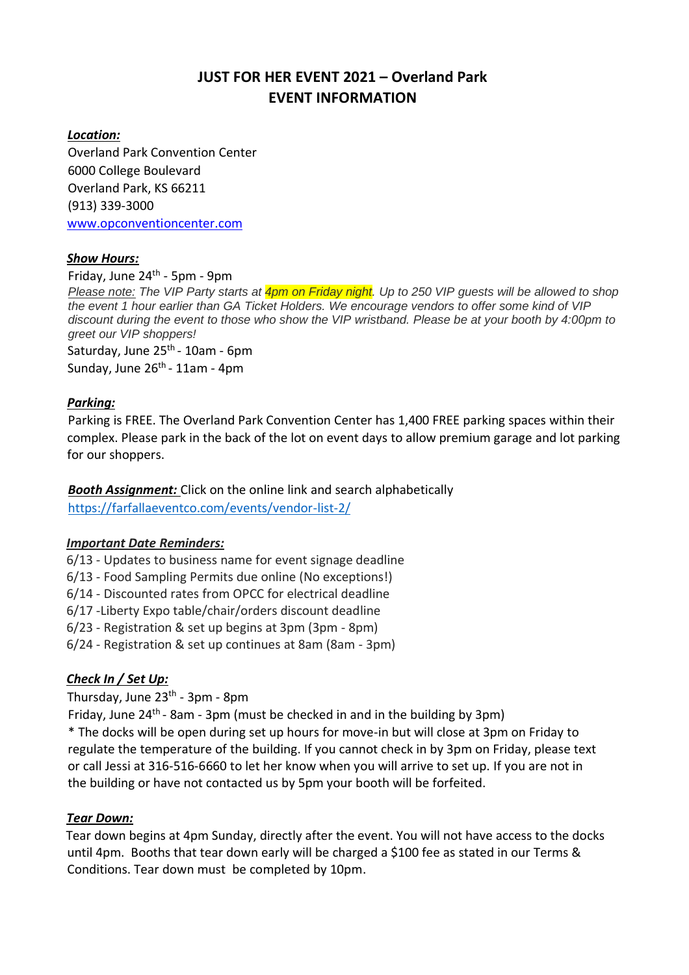# **JUST FOR HER EVENT 2021 – Overland Park EVENT INFORMATION**

## *Location:*

Overland Park Convention Center 6000 College Boulevard Overland Park, KS 66211 (913) 339-3000 www.opconventioncenter.com

# *Show Hours:*

Friday, June 24<sup>th</sup> - 5pm - 9pm

Please note: The VIP Party starts at 4pm on Friday night. Up to 250 VIP quests will be allowed to shop *the event 1 hour earlier than GA Ticket Holders. We encourage vendors to offer some kind of VIP* discount during the event to those who show the VIP wristband. Please be at your booth by 4:00pm to *greet our VIP shoppers!*

Saturday, June 25<sup>th</sup> - 10am - 6pm Sunday, June 26<sup>th</sup> - 11am - 4pm

# *Parking:*

Parking is FREE. The Overland Park Convention Center has 1,400 FREE parking spaces within their complex. Please park in the back of the lot on event days to allow premium garage and lot parking for our shoppers.

*Booth Assignment:* Click on the online link and search alphabetically <https://farfallaeventco.com/events/vendor-list-2/>

## *Important Date Reminders:*

6/13 - Updates to business name for event signage deadline

6/13 - Food Sampling Permits due online (No exceptions!)

6/14 - Discounted rates from OPCC for electrical deadline

6/17 -Liberty Expo table/chair/orders discount deadline

6/23 - Registration & set up begins at 3pm (3pm - 8pm)

6/24 - Registration & set up continues at 8am (8am - 3pm)

# *Check In / Set Up:*

Thursday, June 23<sup>th</sup> - 3pm - 8pm

Friday, June 24<sup>th</sup> - 8am - 3pm (must be checked in and in the building by 3pm)

\* The docks will be open during set up hours for move-in but will close at 3pm on Friday to regulate the temperature of the building. If you cannot check in by 3pm on Friday, please text or call Jessi at 316-516-6660 to let her know when you will arrive to set up. If you are not in the building or have not contacted us by 5pm your booth will be forfeited.

# *Tear Down:*

Tear down begins at 4pm Sunday, directly after the event. You will not have access to the docks until 4pm. Booths that tear down early will be charged a \$100 fee as stated in our Terms & Conditions. Tear down must be completed by 10pm.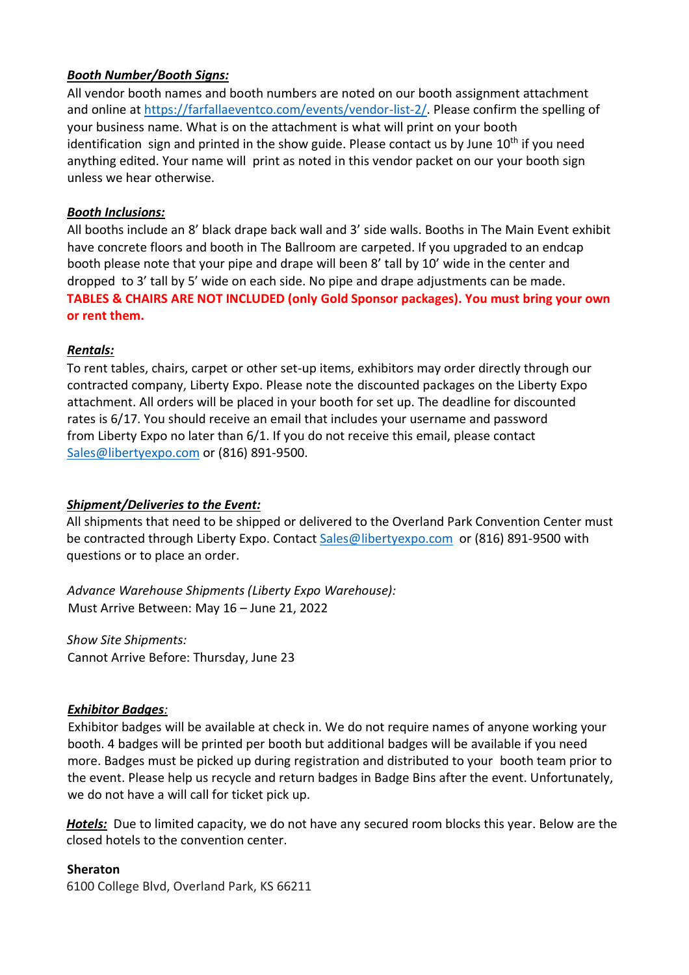## *Booth Number/Booth Signs:*

All vendor booth names and booth numbers are noted on our booth assignment attachment and online at [https://farfallaeventco.com/events/vendor-list-2/.](https://farfallaeventco.com/events/vendor-list-2/) Please confirm the spelling of your business name. What is on the attachment is what will print on your booth identification sign and printed in the show guide. Please contact us by June 10<sup>th</sup> if you need anything edited. Your name will print as noted in this vendor packet on our your booth sign unless we hear otherwise.

#### *Booth Inclusions:*

All booths include an 8' black drape back wall and 3' side walls. Booths in The Main Event exhibit have concrete floors and booth in The Ballroom are carpeted. If you upgraded to an endcap booth please note that your pipe and drape will been 8' tall by 10' wide in the center and dropped to 3' tall by 5' wide on each side. No pipe and drape adjustments can be made. **TABLES & CHAIRS ARE NOT INCLUDED (only Gold Sponsor packages). You must bring your own or rent them.**

## *Rentals:*

To rent tables, chairs, carpet or other set-up items, exhibitors may order directly through our contracted company, Liberty Expo. Please note the discounted packages on the Liberty Expo attachment. All orders will be placed in your booth for set up. The deadline for discounted rates is 6/17. You should receive an email that includes your username and password from Liberty Expo no later than 6/1. If you do not receive this email, please contact [Sales@libertyexpo.com](mailto:Sales@libertyexpo.com)</u> or (816) 891-9500.

## *Shipment/Deliveries to the Event:*

All shipments that need to be shipped or delivered to the Overland Park Convention Center must be contracted through Liberty Expo. Contact [Sales@libertyexpo.com](mailto:Sales@libertyexpo.com) or (816) 891-9500 with questions or to place an order.

*Advance Warehouse Shipments (Liberty Expo Warehouse):* Must Arrive Between: May 16 – June 21, 2022

*Show Site Shipments:* Cannot Arrive Before: Thursday, June 23

#### *Exhibitor Badges:*

Exhibitor badges will be available at check in. We do not require names of anyone working your booth. 4 badges will be printed per booth but additional badges will be available if you need more. Badges must be picked up during registration and distributed to your booth team prior to the event. Please help us recycle and return badges in Badge Bins after the event. Unfortunately, we do not have a will call for ticket pick up.

*Hotels:* Due to limited capacity, we do not have any secured room blocks this year. Below are the closed hotels to the convention center.

#### **Sheraton**

6100 College Blvd, Overland Park, KS 66211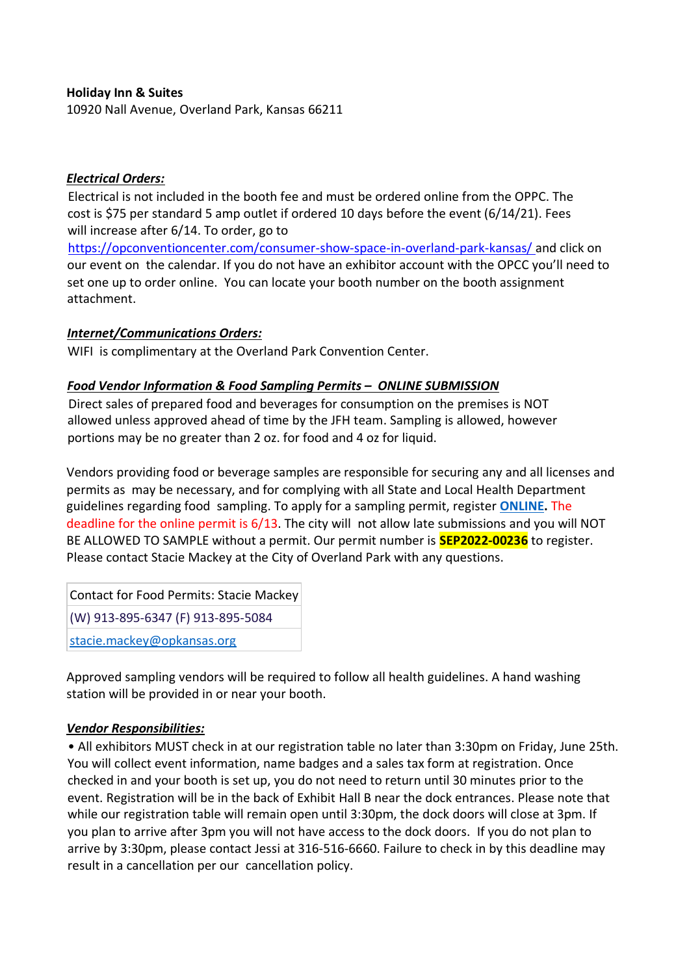#### **Holiday Inn & Suites**

10920 Nall Avenue, Overland Park, Kansas 66211

#### *Electrical Orders:*

Electrical is not included in the booth fee and must be ordered online from the OPPC. The cost is \$75 per standard 5 amp outlet if ordered 10 days before the event (6/14/21). Fees will increase after 6/14. To order, go to

https://opconventioncenter.com/consumer-show-space-in-overland-park-kansas/ and click on our event on the calendar. If you do not have an exhibitor account with the OPCC you'll need to set one up to order online. You can locate your booth number on the booth assignment attachment.

#### *Internet/Communications Orders:*

WIFI is complimentary at the Overland Park Convention Center.

#### *Food Vendor Information & Food Sampling Permits – ONLINE SUBMISSION*

Direct sales of prepared food and beverages for consumption on the premises is NOT allowed unless approved ahead of time by the JFH team. Sampling is allowed, however portions may be no greater than 2 oz. for food and 4 oz for liquid.

Vendors providing food or beverage samples are responsible for securing any and all licenses and permits as may be necessary, and for complying with all State and Local Health Department guidelines regarding food sampling. To apply for a sampling permit, register **[ONLINE.](https://energov.opkansas.org/CSS/SelfService/OverlandParkKSProd#/login?redirectUrl=%2Fpermit%2Fapply%2F80%2F0%2F0)** The deadline for the online permit is 6/13. The city will not allow late submissions and you will NOT BE ALLOWED TO SAMPLE without a permit. Our permit number is **SEP2022-00236** to register. Please contact Stacie Mackey at the City of Overland Park with any questions.

Contact for Food Permits: Stacie Mackey

(W) 913-895-6347 (F) 913-895-5084

[stacie.mackey@opkansas.org](mailto:stacie.mackey@opkansas.org)

Approved sampling vendors will be required to follow all health guidelines. A hand washing station will be provided in or near your booth.

## *Vendor Responsibilities:*

• All exhibitors MUST check in at our registration table no later than 3:30pm on Friday, June 25th. You will collect event information, name badges and a sales tax form at registration. Once checked in and your booth is set up, you do not need to return until 30 minutes prior to the event. Registration will be in the back of Exhibit Hall B near the dock entrances. Please note that while our registration table will remain open until 3:30pm, the dock doors will close at 3pm. If you plan to arrive after 3pm you will not have access to the dock doors. If you do not plan to arrive by 3:30pm, please contact Jessi at 316-516-6660. Failure to check in by this deadline may result in a cancellation per our cancellation policy.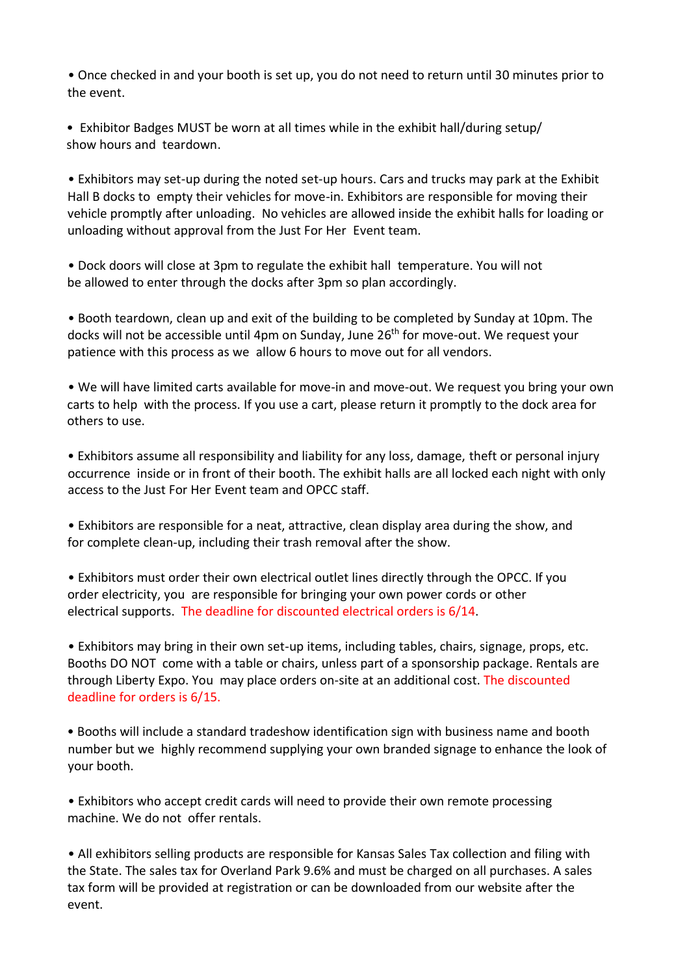• Once checked in and your booth is set up, you do not need to return until 30 minutes prior to the event.

• Exhibitor Badges MUST be worn at all times while in the exhibit hall/during setup/ show hours and teardown.

• Exhibitors may set-up during the noted set-up hours. Cars and trucks may park at the Exhibit Hall B docks to empty their vehicles for move-in. Exhibitors are responsible for moving their vehicle promptly after unloading. No vehicles are allowed inside the exhibit halls for loading or unloading without approval from the Just For Her Event team.

• Dock doors will close at 3pm to regulate the exhibit hall temperature. You will not be allowed to enter through the docks after 3pm so plan accordingly.

• Booth teardown, clean up and exit of the building to be completed by Sunday at 10pm. The docks will not be accessible until 4pm on Sunday, June 26<sup>th</sup> for move-out. We request your patience with this process as we allow 6 hours to move out for all vendors.

• We will have limited carts available for move-in and move-out. We request you bring your own carts to help with the process. If you use a cart, please return it promptly to the dock area for others to use.

• Exhibitors assume all responsibility and liability for any loss, damage, theft or personal injury occurrence inside or in front of their booth. The exhibit halls are all locked each night with only access to the Just For Her Event team and OPCC staff.

• Exhibitors are responsible for a neat, attractive, clean display area during the show, and for complete clean-up, including their trash removal after the show.

• Exhibitors must order their own electrical outlet lines directly through the OPCC. If you order electricity, you are responsible for bringing your own power cords or other electrical supports. The deadline for discounted electrical orders is 6/14.

• Exhibitors may bring in their own set-up items, including tables, chairs, signage, props, etc. Booths DO NOT come with a table or chairs, unless part of a sponsorship package. Rentals are through Liberty Expo. You may place orders on-site at an additional cost. The discounted deadline for orders is 6/15.

• Booths will include a standard tradeshow identification sign with business name and booth number but we highly recommend supplying your own branded signage to enhance the look of your booth.

• Exhibitors who accept credit cards will need to provide their own remote processing machine. We do not offer rentals.

• All exhibitors selling products are responsible for Kansas Sales Tax collection and filing with the State. The sales tax for Overland Park 9.6% and must be charged on all purchases. A sales tax form will be provided at registration or can be downloaded from our website after the event.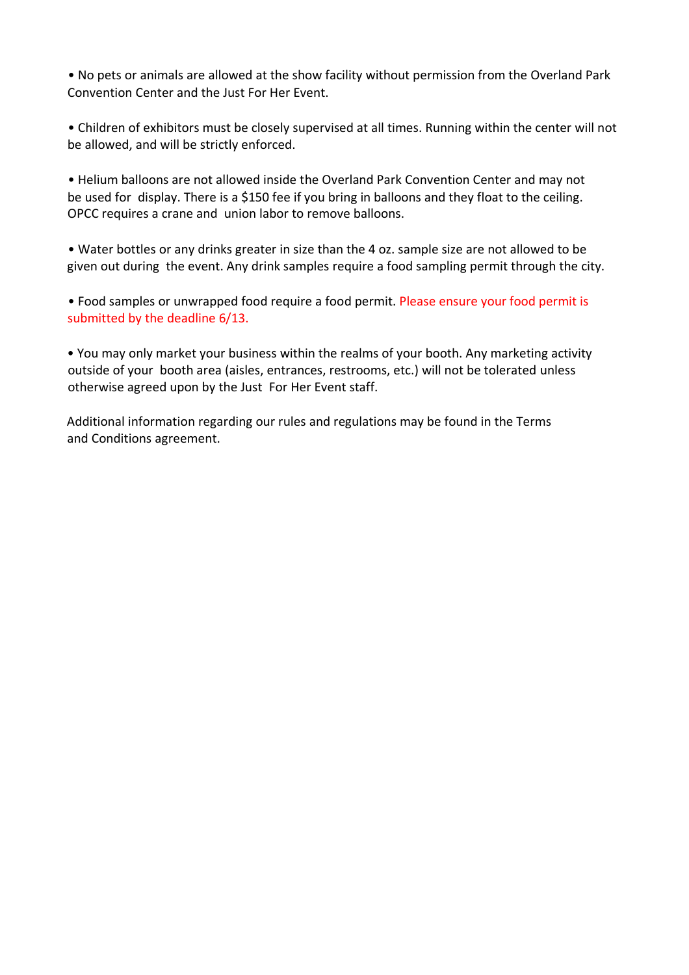• No pets or animals are allowed at the show facility without permission from the Overland Park Convention Center and the Just For Her Event.

• Children of exhibitors must be closely supervised at all times. Running within the center will not be allowed, and will be strictly enforced.

• Helium balloons are not allowed inside the Overland Park Convention Center and may not be used for display. There is a \$150 fee if you bring in balloons and they float to the ceiling. OPCC requires a crane and union labor to remove balloons.

• Water bottles or any drinks greater in size than the 4 oz. sample size are not allowed to be given out during the event. Any drink samples require a food sampling permit through the city.

• Food samples or unwrapped food require a food permit. Please ensure your food permit is submitted by the deadline 6/13.

• You may only market your business within the realms of your booth. Any marketing activity outside of your booth area (aisles, entrances, restrooms, etc.) will not be tolerated unless otherwise agreed upon by the Just For Her Event staff.

Additional information regarding our rules and regulations may be found in the Terms and Conditions agreement.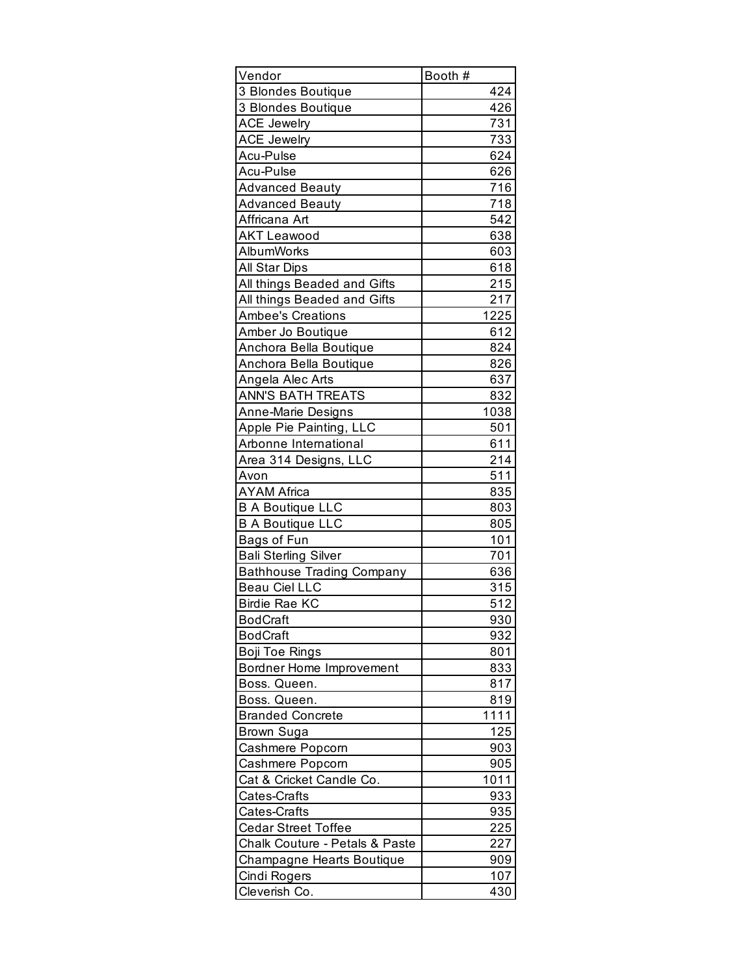| Vendor                           | Booth #         |
|----------------------------------|-----------------|
| 3 Blondes Boutique               | 424             |
| 3 Blondes Boutique               | 426             |
| <b>ACE Jewelry</b>               | 731             |
| ACE Jewelry                      | 733             |
| Acu-Pulse                        | 624             |
| Acu-Pulse                        | 626             |
| <b>Advanced Beauty</b>           | 716             |
| <b>Advanced Beauty</b>           | 718             |
| Affricana Art                    | 542             |
| <b>AKT Leawood</b>               | 638             |
| AlbumWorks                       | 603             |
| All Star Dips                    | 618             |
| All things Beaded and Gifts      | 215             |
| All things Beaded and Gifts      | 217             |
| <b>Ambee's Creations</b>         | 1225            |
| Amber Jo Boutique                | 612             |
| Anchora Bella Boutique           | 824             |
| Anchora Bella Boutique           | 826             |
| Angela Alec Arts                 | 637             |
| ANN'S BATH TREATS                | 832             |
| Anne-Marie Designs               | 1038            |
| Apple Pie Painting, LLC          | 501             |
| Arbonne International            | 611             |
| Area 314 Designs, LLC            | 214             |
| Avon                             | 511             |
| <b>AYAM Africa</b>               | 835             |
| <b>B A Boutique LLC</b>          | 803             |
| <b>B A Boutique LLC</b>          | 805             |
| Bags of Fun                      | 101             |
| <b>Bali Sterling Silver</b>      | 701             |
| <b>Bathhouse Trading Company</b> | 636             |
| <b>Beau Ciel LLC</b>             | 315             |
| <b>Birdie Rae KC</b>             | 512             |
| <b>BodCraft</b>                  | $\frac{930}{ }$ |
| <b>BodCraft</b>                  | 932             |
| Boji Toe Rings                   | 801             |
| Bordner Home Improvement         | 833             |
| Boss. Queen.                     | 817             |
| Boss. Queen.                     | 819             |
| <b>Branded Concrete</b>          | 1111            |
| Brown Suga                       | 125             |
| Cashmere Popcorn                 | 903             |
| Cashmere Popcorn                 | 905             |
| Cat & Cricket Candle Co.         | 1011            |
| Cates-Crafts                     | 933             |
| Cates-Crafts                     | 935             |
| <b>Cedar Street Toffee</b>       | 225             |
| Chalk Couture - Petals & Paste   | 227             |
| Champagne Hearts Boutique        | 909             |
| Cindi Rogers                     | 107             |
| Cleverish Co.                    | 430             |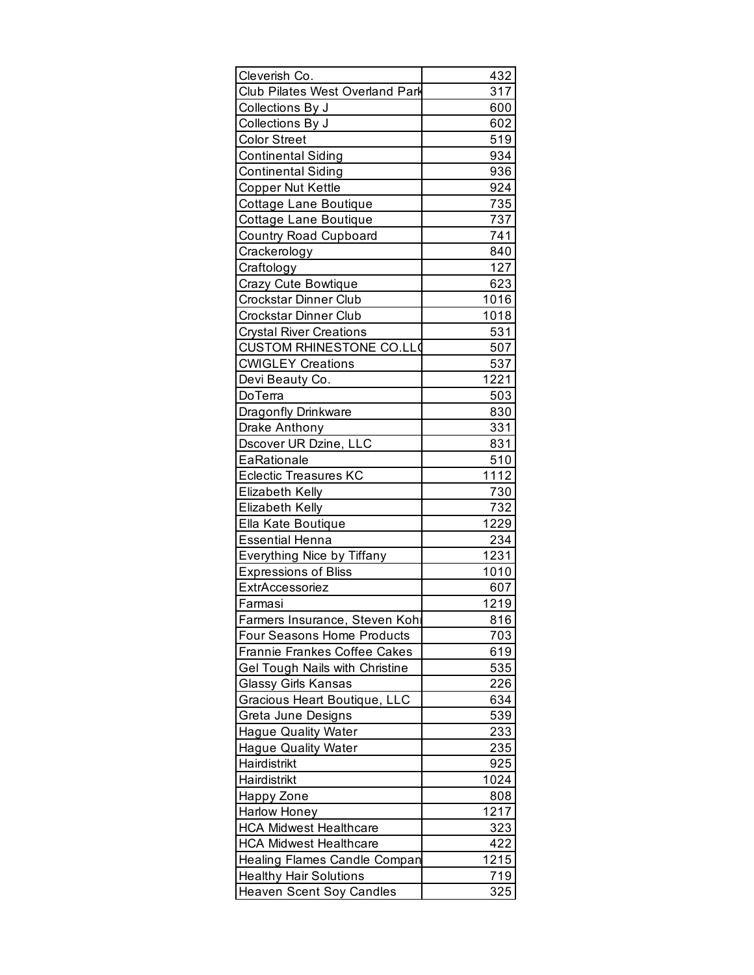| Cleverish Co.                     | 432  |
|-----------------------------------|------|
| Club Pilates West Overland Park   | 317  |
| Collections By J                  | 600  |
| Collections By J                  | 602  |
| <b>Color Street</b>               | 519  |
| <b>Continental Siding</b>         | 934  |
| <b>Continental Siding</b>         | 936  |
| <b>Copper Nut Kettle</b>          | 924  |
| Cottage Lane Boutique             | 735  |
| Cottage Lane Boutique             | 737  |
| <b>Country Road Cupboard</b>      | 741  |
| Crackerology                      | 840  |
| Craftology                        | 127  |
| Crazy Cute Bowtique               | 623  |
| <b>Crockstar Dinner Club</b>      | 1016 |
| <b>Crockstar Dinner Club</b>      | 1018 |
| <b>Crystal River Creations</b>    | 531  |
| <b>CUSTOM RHINESTONE CO.LLO</b>   | 507  |
| <b>CWIGLEY Creations</b>          | 537  |
| Devi Beauty Co.                   | 1221 |
| DoTerra                           | 503  |
| Dragonfly Drinkware               | 830  |
| Drake Anthony                     | 331  |
| Dscover UR Dzine, LLC             | 831  |
| EaRationale                       | 510  |
| <b>Eclectic Treasures KC</b>      | 1112 |
| Elizabeth Kelly                   | 730  |
| Elizabeth Kelly                   | 732  |
| Ella Kate Boutique                | 1229 |
| <b>Essential Henna</b>            | 234  |
| Everything Nice by Tiffany        | 1231 |
| <b>Expressions of Bliss</b>       | 1010 |
| ExtrAccessoriez                   | 607  |
| Farmasi                           | 1219 |
| Farmers Insurance, Steven Koh     | 816  |
| <b>Four Seasons Home Products</b> | 703  |
| Frannie Frankes Coffee Cakes      | 619  |
| Gel Tough Nails with Christine    | 535  |
| <b>Glassy Girls Kansas</b>        | 226  |
| Gracious Heart Boutique, LLC      | 634  |
| Greta June Designs                | 539  |
| <b>Hague Quality Water</b>        | 233  |
| <b>Hague Quality Water</b>        | 235  |
| Hairdistrikt                      | 925  |
| Hairdistrikt                      | 1024 |
| Happy Zone                        | 808  |
| <b>Harlow Honey</b>               | 1217 |
| <b>HCA Midwest Healthcare</b>     | 323  |
| <b>HCA Midwest Healthcare</b>     | 422  |
| Healing Flames Candle Compan      | 1215 |
| <b>Healthy Hair Solutions</b>     | 719  |
| <b>Heaven Scent Soy Candles</b>   | 325  |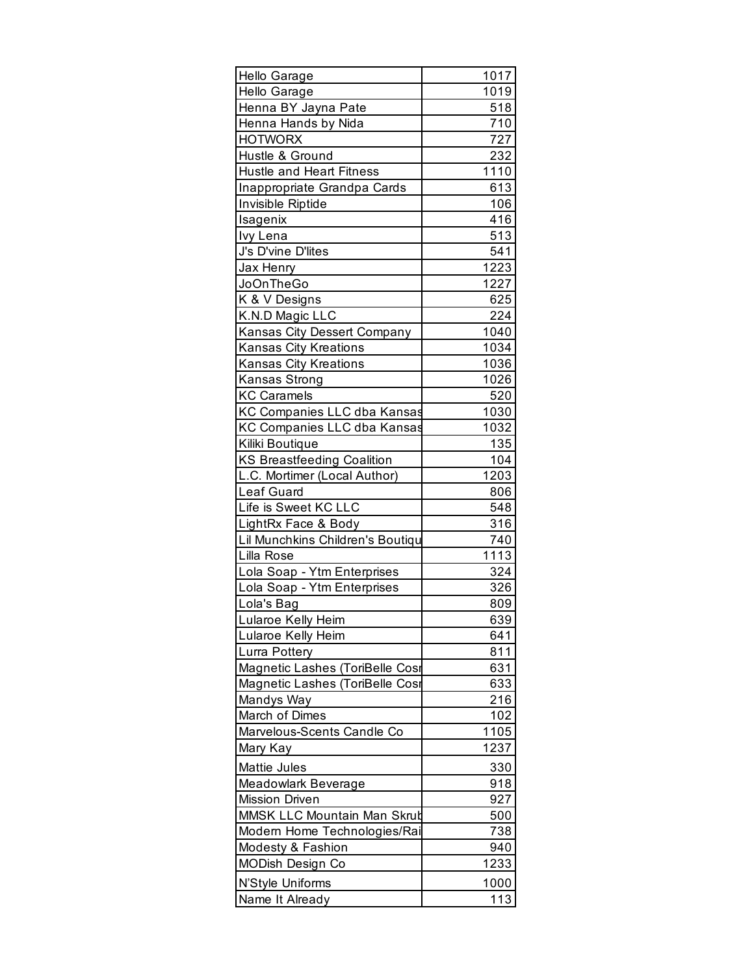| Hello Garage                       | 1017 |
|------------------------------------|------|
| Hello Garage                       | 1019 |
| Henna BY Jayna Pate                | 518  |
| Henna Hands by Nida                | 710  |
| <b>HOTWORX</b>                     | 727  |
| Hustle & Ground                    | 232  |
| <b>Hustle and Heart Fitness</b>    | 1110 |
| Inappropriate Grandpa Cards        | 613  |
| Invisible Riptide                  | 106  |
| Isagenix                           | 416  |
| Ivy Lena                           | 513  |
| J's D'vine D'lites                 | 541  |
| Jax Henry                          | 1223 |
| <b>JoOnTheGo</b>                   | 1227 |
| K & V Designs                      | 625  |
| K.N.D Magic LLC                    | 224  |
| Kansas City Dessert Company        | 1040 |
| <b>Kansas City Kreations</b>       | 1034 |
| Kansas City Kreations              | 1036 |
| Kansas Strong                      | 1026 |
| <b>KC Caramels</b>                 | 520  |
| <b>KC Companies LLC dba Kansas</b> | 1030 |
| KC Companies LLC dba Kansas        | 1032 |
| Kiliki Boutique                    | 135  |
| <b>KS Breastfeeding Coalition</b>  | 104  |
| L.C. Mortimer (Local Author)       | 1203 |
| Leaf Guard                         | 806  |
| Life is Sweet KC LLC               | 548  |
| LightRx Face & Body                | 316  |
| Lil Munchkins Children's Boutiqu   | 740  |
| Lilla Rose                         | 1113 |
| Lola Soap - Ytm Enterprises        | 324  |
| Lola Soap - Ytm Enterprises        | 326  |
| Lola's Bag                         | 809  |
| Lularoe Kelly Heim                 | 639  |
| Lularoe Kelly Heim                 | 641  |
| Lurra Pottery                      | 811  |
| Magnetic Lashes (ToriBelle Cost    | 631  |
| Magnetic Lashes (ToriBelle Cosr    | 633  |
| Mandys Way                         | 216  |
| March of Dimes                     | 102  |
| Marvelous-Scents Candle Co         | 1105 |
| Mary Kay                           | 1237 |
| Mattie Jules                       | 330  |
| Meadowlark Beverage                | 918  |
| <b>Mission Driven</b>              | 927  |
| <b>MMSK LLC Mountain Man Skrut</b> | 500  |
| Modern Home Technologies/Rai       | 738  |
| Modesty & Fashion                  | 940  |
| <b>MODish Design Co</b>            | 1233 |
| N'Style Uniforms                   | 1000 |
| Name It Already                    | 113  |
|                                    |      |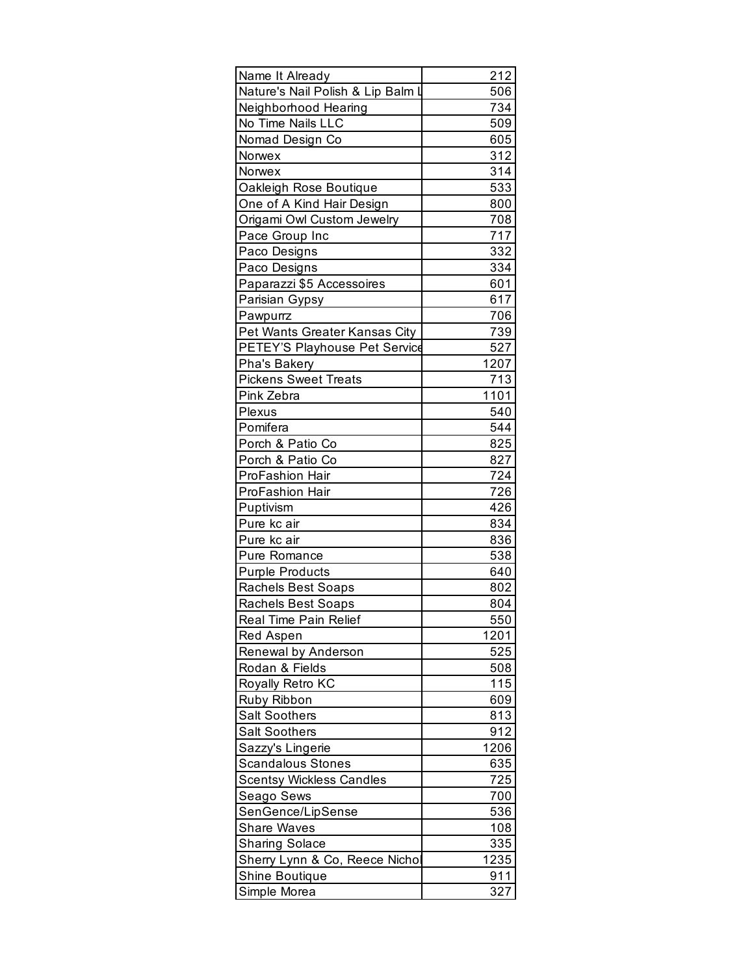| Name It Already                   | 212  |
|-----------------------------------|------|
| Nature's Nail Polish & Lip Balm I | 506  |
| Neighborhood Hearing              | 734  |
| No Time Nails LLC                 | 509  |
| Nomad Design Co                   | 605  |
| Norwex                            | 312  |
| Norwex                            | 314  |
| Oakleigh Rose Boutique            | 533  |
| One of A Kind Hair Design         | 800  |
| Origami Owl Custom Jewelry        | 708  |
| Pace Group Inc                    | 717  |
| Paco Designs                      | 332  |
| Paco Designs                      | 334  |
| Paparazzi \$5 Accessoires         | 601  |
| Parisian Gypsy                    | 617  |
| Pawpurrz                          | 706  |
| Pet Wants Greater Kansas City     | 739  |
| PETEY'S Playhouse Pet Service     | 527  |
| Pha's Bakery                      | 1207 |
| <b>Pickens Sweet Treats</b>       | 713  |
| Pink Zebra                        | 1101 |
| Plexus                            | 540  |
| Pomifera                          | 544  |
| Porch & Patio Co                  | 825  |
| Porch & Patio Co                  | 827  |
| ProFashion Hair                   | 724  |
| ProFashion Hair                   | 726  |
| Puptivism                         | 426  |
| Pure kc air                       | 834  |
| Pure kc air                       | 836  |
| Pure Romance                      | 538  |
| <b>Purple Products</b>            | 640  |
| Rachels Best Soaps                | 802  |
| <b>Rachels Best Soaps</b>         | 804  |
| Real Time Pain Relief             | 550  |
| Red Aspen                         | 1201 |
| Renewal by Anderson               | 525  |
| Rodan & Fields                    | 508  |
| Royally Retro KC                  | 115  |
| Ruby Ribbon                       | 609  |
| Salt Soothers                     | 813  |
| <b>Salt Soothers</b>              | 912  |
| Sazzy's Lingerie                  | 1206 |
| <b>Scandalous Stones</b>          | 635  |
| <b>Scentsy Wickless Candles</b>   | 725  |
| Seago Sews                        | 700  |
| SenGence/LipSense                 | 536  |
| <b>Share Waves</b>                | 108  |
| Sharing Solace                    | 335  |
| Sherry Lynn & Co, Reece Nichol    | 1235 |
| Shine Boutique                    | 911  |
| Simple Morea                      | 327  |
|                                   |      |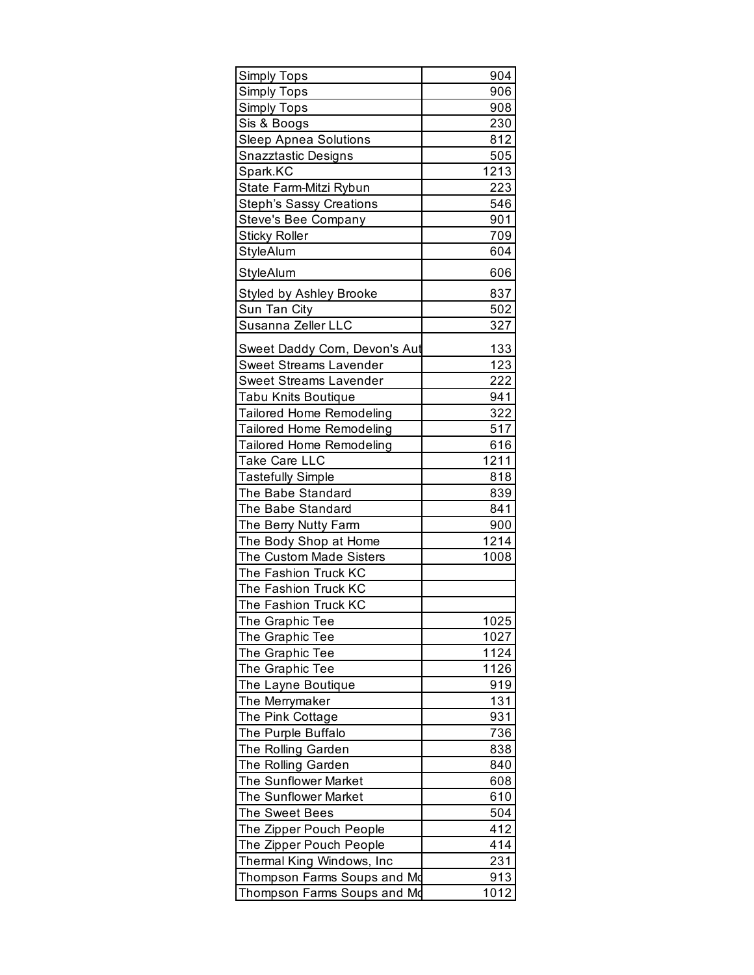| Simply Tops                     | 904  |
|---------------------------------|------|
| Simply Tops                     | 906  |
| Simply Tops                     | 908  |
| Sis & Boogs                     | 230  |
| Sleep Apnea Solutions           | 812  |
| Snazztastic Designs             | 505  |
| Spark.KC                        | 1213 |
| State Farm-Mitzi Rybun          | 223  |
| <b>Steph's Sassy Creations</b>  | 546  |
| Steve's Bee Company             | 901  |
| Sticky Roller                   | 709  |
| StyleAlum                       | 604  |
| StyleAlum                       | 606  |
| <b>Styled by Ashley Brooke</b>  | 837  |
| Sun Tan City                    | 502  |
| Susanna Zeller LLC              | 327  |
| Sweet Daddy Corn, Devon's Aut   | 133  |
| <b>Sweet Streams Lavender</b>   | 123  |
| <b>Sweet Streams Lavender</b>   | 222  |
| Tabu Knits Boutique             | 941  |
| <b>Tailored Home Remodeling</b> | 322  |
| <b>Tailored Home Remodeling</b> | 517  |
| <b>Tailored Home Remodeling</b> | 616  |
| Take Care LLC                   | 1211 |
| <b>Tastefully Simple</b>        | 818  |
| The Babe Standard               | 839  |
| The Babe Standard               | 841  |
| The Berry Nutty Farm            | 900  |
| The Body Shop at Home           | 1214 |
| The Custom Made Sisters         | 1008 |
| The Fashion Truck KC            |      |
| The Fashion Truck KC            |      |
| The Fashion Truck KC            |      |
| The Graphic Tee                 | 1025 |
| The Graphic Tee                 | 1027 |
| The Graphic Tee                 | 1124 |
| The Graphic Tee                 | 1126 |
| The Layne Boutique              | 919  |
| The Merrymaker                  | 131  |
| The Pink Cottage                | 931  |
| The Purple Buffalo              | 736  |
| The Rolling Garden              | 838  |
| The Rolling Garden              | 840  |
| The Sunflower Market            | 608  |
| The Sunflower Market            | 610  |
| The Sweet Bees                  | 504  |
| The Zipper Pouch People         | 412  |
| The Zipper Pouch People         | 414  |
| Thermal King Windows, Inc       | 231  |
| Thompson Farms Soups and Mo     | 913  |
| Thompson Farms Soups and Mo     | 1012 |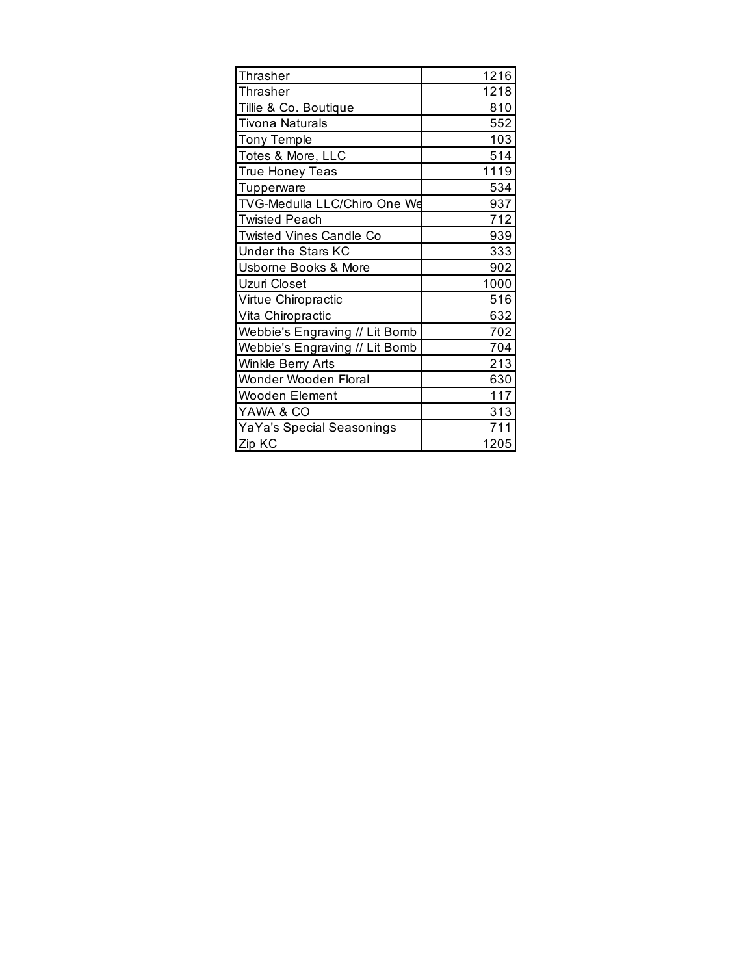| Thrasher                       | 1216 |
|--------------------------------|------|
| Thrasher                       | 1218 |
| Tillie & Co. Boutique          | 810  |
| Tivona Naturals                | 552  |
| <b>Tony Temple</b>             | 103  |
| Totes & More, LLC              | 514  |
| True Honey Teas                | 1119 |
| Tupperware                     | 534  |
| TVG-Medulla LLC/Chiro One We   | 937  |
| <b>Twisted Peach</b>           | 712  |
| Twisted Vines Candle Co        | 939  |
| <b>Under the Stars KC</b>      | 333  |
| Usborne Books & More           | 902  |
| Uzuri Closet                   | 1000 |
| Virtue Chiropractic            | 516  |
| Vita Chiropractic              | 632  |
| Webbie's Engraving // Lit Bomb | 702  |
| Webbie's Engraving // Lit Bomb | 704  |
| Winkle Berry Arts              | 213  |
| Wonder Wooden Floral           | 630  |
| <b>Wooden Element</b>          | 117  |
| YAWA & CO                      | 313  |
| YaYa's Special Seasonings      | 711  |
| Zip KC                         | 1205 |